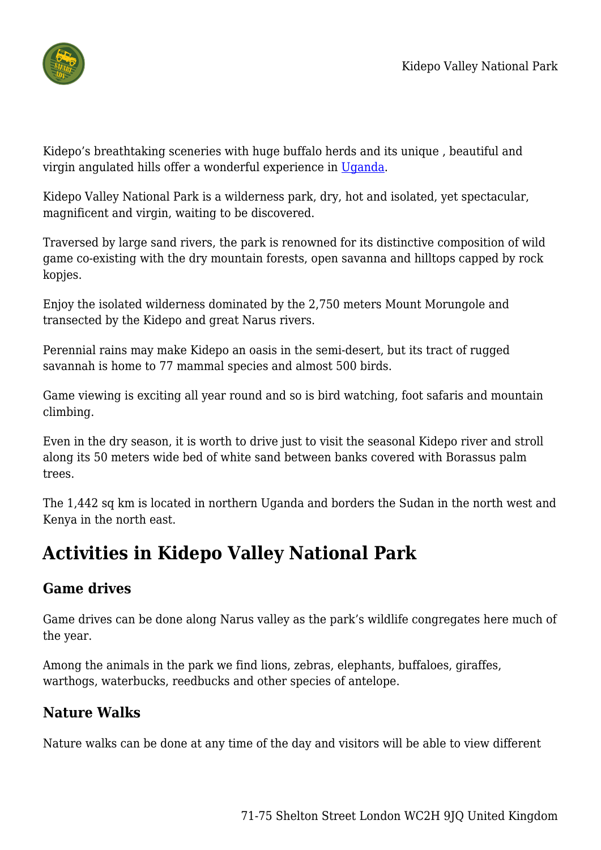

Kidepo's breathtaking sceneries with huge buffalo herds and its unique , beautiful and virgin angulated hills offer a wonderful experience in [Uganda](https://www.africa-luxury-safari.com/en/destination/uganda/).

Kidepo Valley National Park is a wilderness park, dry, hot and isolated, yet spectacular, magnificent and virgin, waiting to be discovered.

Traversed by large sand rivers, the park is renowned for its distinctive composition of wild game co-existing with the dry mountain forests, open savanna and hilltops capped by rock kopjes.

Enjoy the isolated wilderness dominated by the 2,750 meters Mount Morungole and transected by the Kidepo and great Narus rivers.

Perennial rains may make Kidepo an oasis in the semi-desert, but its tract of rugged savannah is home to 77 mammal species and almost 500 birds.

Game viewing is exciting all year round and so is bird watching, foot safaris and mountain climbing.

Even in the dry season, it is worth to drive just to visit the seasonal Kidepo river and stroll along its 50 meters wide bed of white sand between banks covered with Borassus palm trees.

The 1,442 sq km is located in northern Uganda and borders the Sudan in the north west and Kenya in the north east.

# **Activities in Kidepo Valley National Park**

# **Game drives**

Game drives can be done along Narus valley as the park's wildlife congregates here much of the year.

Among the animals in the park we find lions, zebras, elephants, buffaloes, giraffes, warthogs, waterbucks, reedbucks and other species of antelope.

# **Nature Walks**

Nature walks can be done at any time of the day and visitors will be able to view different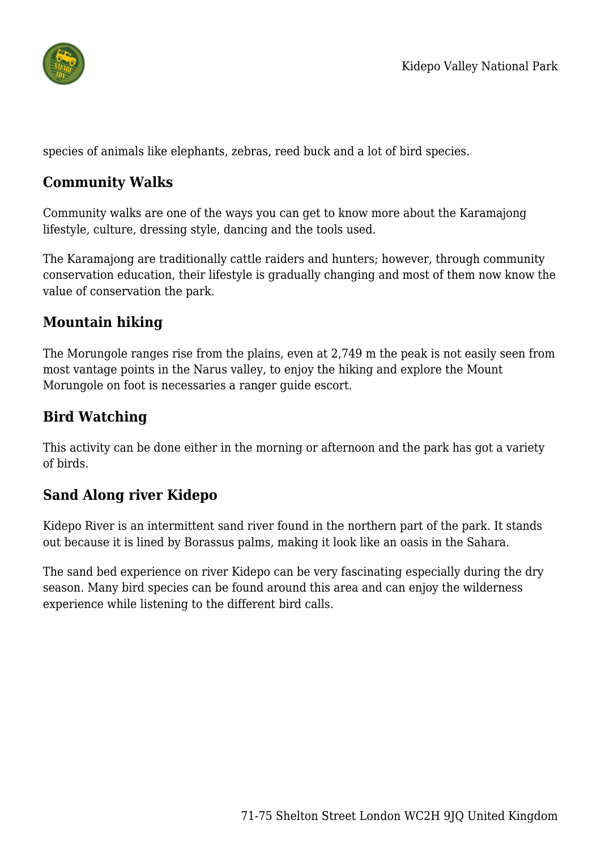

species of animals like elephants, zebras, reed buck and a lot of bird species.

#### **Community Walks**

Community walks are one of the ways you can get to know more about the Karamajong lifestyle, culture, dressing style, dancing and the tools used.

The Karamajong are traditionally cattle raiders and hunters; however, through community conservation education, their lifestyle is gradually changing and most of them now know the value of conservation the park.

# **Mountain hiking**

The Morungole ranges rise from the plains, even at 2,749 m the peak is not easily seen from most vantage points in the Narus valley, to enjoy the hiking and explore the Mount Morungole on foot is necessaries a ranger guide escort.

# **Bird Watching**

This activity can be done either in the morning or afternoon and the park has got a variety of birds.

# **Sand Along river Kidepo**

Kidepo River is an intermittent sand river found in the northern part of the park. It stands out because it is lined by Borassus palms, making it look like an oasis in the Sahara.

The sand bed experience on river Kidepo can be very fascinating especially during the dry season. Many bird species can be found around this area and can enjoy the wilderness experience while listening to the different bird calls.